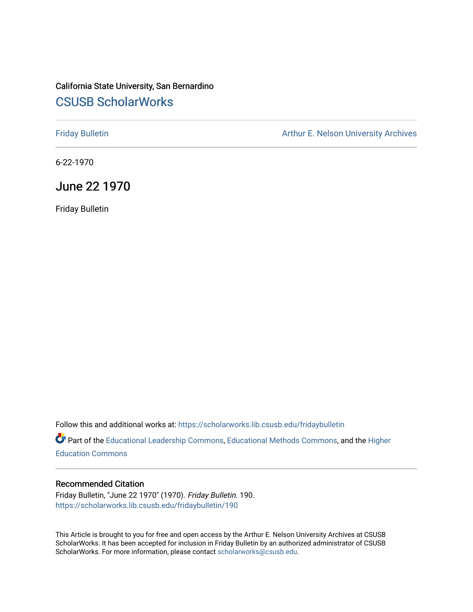## California State University, San Bernardino [CSUSB ScholarWorks](https://scholarworks.lib.csusb.edu/)

[Friday Bulletin](https://scholarworks.lib.csusb.edu/fridaybulletin) **Arthur E. Nelson University Archives** Arthur E. Nelson University Archives

6-22-1970

June 22 1970

Friday Bulletin

Follow this and additional works at: [https://scholarworks.lib.csusb.edu/fridaybulletin](https://scholarworks.lib.csusb.edu/fridaybulletin?utm_source=scholarworks.lib.csusb.edu%2Ffridaybulletin%2F190&utm_medium=PDF&utm_campaign=PDFCoverPages)

Part of the [Educational Leadership Commons,](http://network.bepress.com/hgg/discipline/1230?utm_source=scholarworks.lib.csusb.edu%2Ffridaybulletin%2F190&utm_medium=PDF&utm_campaign=PDFCoverPages) [Educational Methods Commons,](http://network.bepress.com/hgg/discipline/1227?utm_source=scholarworks.lib.csusb.edu%2Ffridaybulletin%2F190&utm_medium=PDF&utm_campaign=PDFCoverPages) and the [Higher](http://network.bepress.com/hgg/discipline/1245?utm_source=scholarworks.lib.csusb.edu%2Ffridaybulletin%2F190&utm_medium=PDF&utm_campaign=PDFCoverPages) [Education Commons](http://network.bepress.com/hgg/discipline/1245?utm_source=scholarworks.lib.csusb.edu%2Ffridaybulletin%2F190&utm_medium=PDF&utm_campaign=PDFCoverPages) 

## Recommended Citation

Friday Bulletin, "June 22 1970" (1970). Friday Bulletin. 190. [https://scholarworks.lib.csusb.edu/fridaybulletin/190](https://scholarworks.lib.csusb.edu/fridaybulletin/190?utm_source=scholarworks.lib.csusb.edu%2Ffridaybulletin%2F190&utm_medium=PDF&utm_campaign=PDFCoverPages)

This Article is brought to you for free and open access by the Arthur E. Nelson University Archives at CSUSB ScholarWorks. It has been accepted for inclusion in Friday Bulletin by an authorized administrator of CSUSB ScholarWorks. For more information, please contact [scholarworks@csusb.edu.](mailto:scholarworks@csusb.edu)